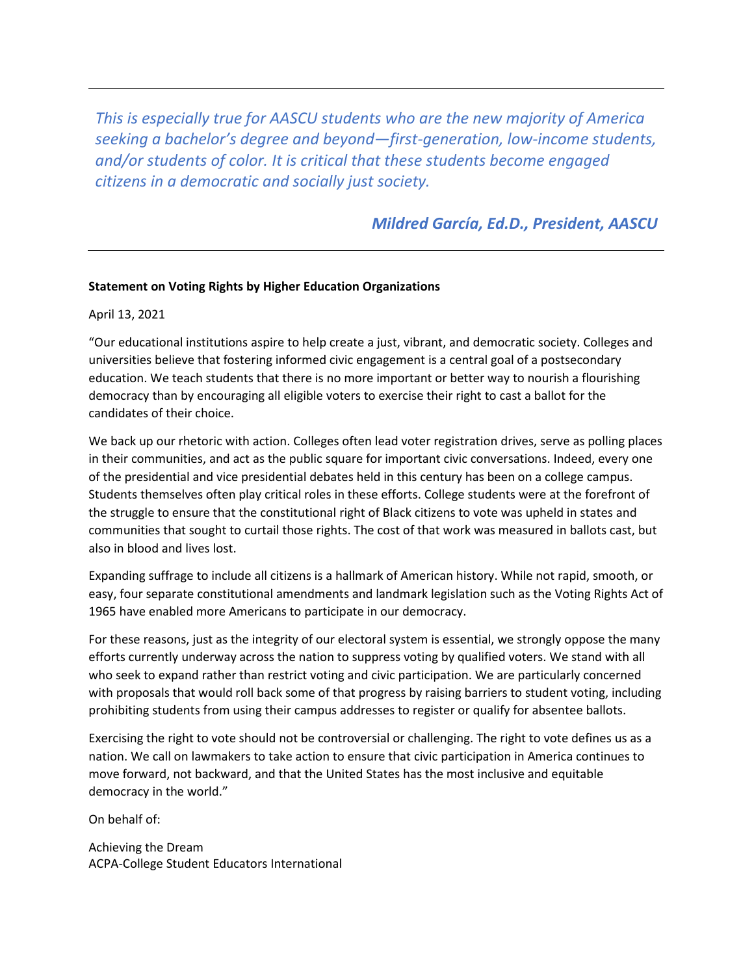*This is especially true for AASCU students who are the new majority of America seeking a bachelor's degree and beyond—first-generation, low-income students, and/or students of color. It is critical that these students become engaged citizens in a democratic and socially just society.*

*[Mildred García, Ed.D.,](mailto:presg@aascu.org) President, AASCU*

## **Statement on Voting Rights by Higher Education Organizations**

April 13, 2021

"Our educational institutions aspire to help create a just, vibrant, and democratic society. Colleges and universities believe that fostering informed civic engagement is a central goal of a postsecondary education. We teach students that there is no more important or better way to nourish a flourishing democracy than by encouraging all eligible voters to exercise their right to cast a ballot for the candidates of their choice.

We back up our rhetoric with action. Colleges often lead voter registration drives, serve as polling places in their communities, and act as the public square for important civic conversations. Indeed, every one of the presidential and vice presidential debates held in this century has been on a college campus. Students themselves often play critical roles in these efforts. College students were at the forefront of the struggle to ensure that the constitutional right of Black citizens to vote was upheld in states and communities that sought to curtail those rights. The cost of that work was measured in ballots cast, but also in blood and lives lost.

Expanding suffrage to include all citizens is a hallmark of American history. While not rapid, smooth, or easy, four separate constitutional amendments and landmark legislation such as the Voting Rights Act of 1965 have enabled more Americans to participate in our democracy.

For these reasons, just as the integrity of our electoral system is essential, we strongly oppose the many efforts currently underway across the nation to suppress voting by qualified voters. We stand with all who seek to expand rather than restrict voting and civic participation. We are particularly concerned with proposals that would roll back some of that progress by raising barriers to student voting, including prohibiting students from using their campus addresses to register or qualify for absentee ballots.

Exercising the right to vote should not be controversial or challenging. The right to vote defines us as a nation. We call on lawmakers to take action to ensure that civic participation in America continues to move forward, not backward, and that the United States has the most inclusive and equitable democracy in the world."

On behalf of:

Achieving the Dream ACPA-College Student Educators International